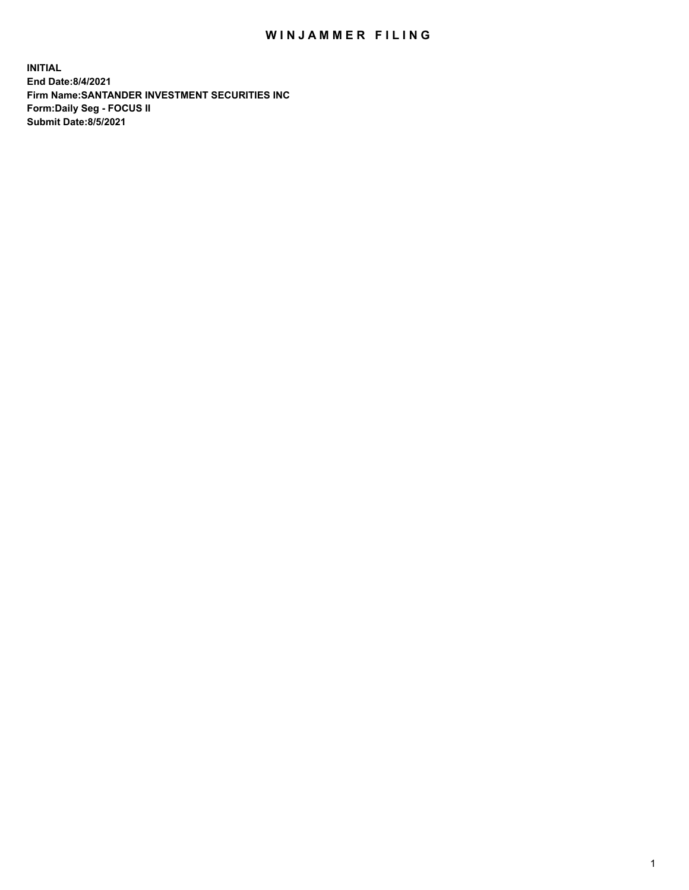## WIN JAMMER FILING

**INITIAL End Date:8/4/2021 Firm Name:SANTANDER INVESTMENT SECURITIES INC Form:Daily Seg - FOCUS II Submit Date:8/5/2021**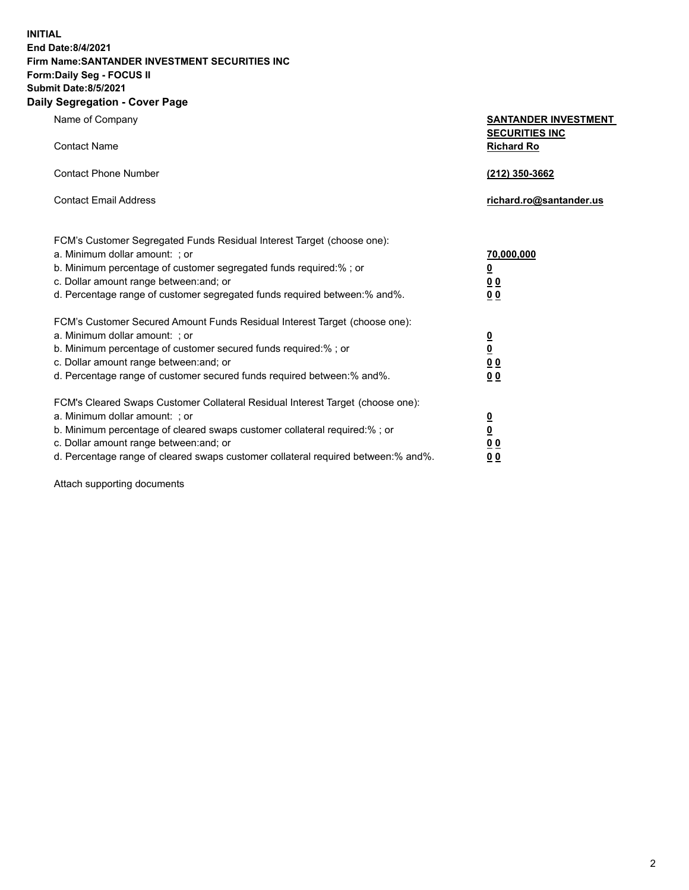**INITIAL End Date:8/4/2021 Firm Name:SANTANDER INVESTMENT SECURITIES INC Form:Daily Seg - FOCUS II Submit Date:8/5/2021 Daily Segregation - Cover Page**

Name of Company **SANTANDER INVESTMENT SECURITIES INC** Contact Name **Richard Ro** Contact Phone Number **(212) 350-3662** Contact Email Address **richard.ro@santander.us** FCM's Customer Segregated Funds Residual Interest Target (choose one): a. Minimum dollar amount: ; or **70,000,000** b. Minimum percentage of customer segregated funds required:% ; or **0** c. Dollar amount range between:and; or **0 0** d. Percentage range of customer segregated funds required between:% and%. **0 0** FCM's Customer Secured Amount Funds Residual Interest Target (choose one): a. Minimum dollar amount: ; or **0** b. Minimum percentage of customer secured funds required:% ; or **0** c. Dollar amount range between:and; or **0 0** d. Percentage range of customer secured funds required between:% and%. **0 0** FCM's Cleared Swaps Customer Collateral Residual Interest Target (choose one): a. Minimum dollar amount: ; or **0** b. Minimum percentage of cleared swaps customer collateral required:% ; or **0** c. Dollar amount range between:and; or **0 0**

d. Percentage range of cleared swaps customer collateral required between:% and%. **0 0**

Attach supporting documents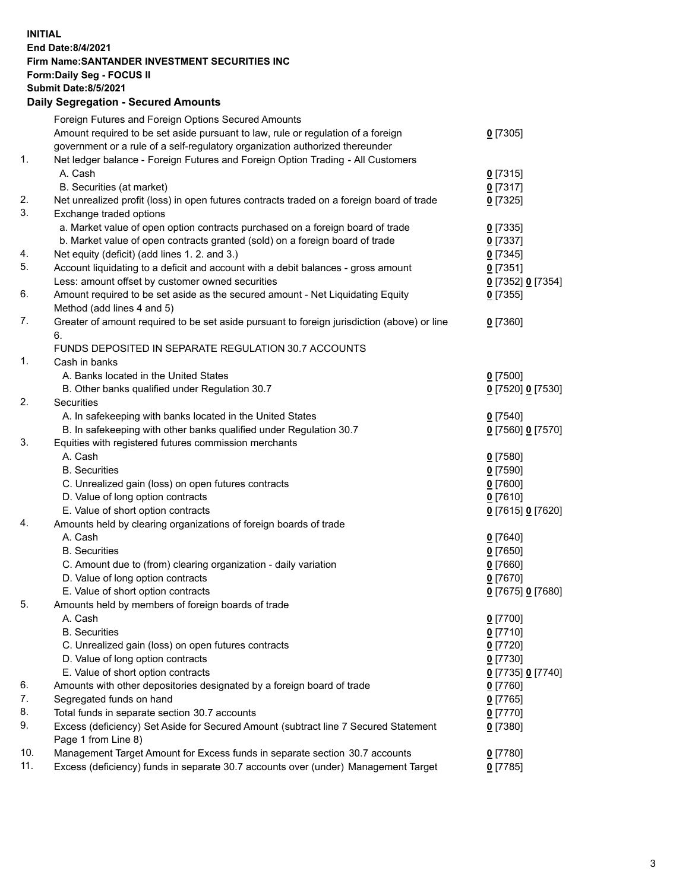## **INITIAL End Date:8/4/2021 Firm Name:SANTANDER INVESTMENT SECURITIES INC Form:Daily Seg - FOCUS II Submit Date:8/5/2021 Daily Segregation - Secured Amounts** Foreign Futures and Foreign Options Secured Amounts Amount required to be set aside pursuant to law, rule or regulation of a foreign

|     | Amount required to be set aside pursuant to law, rule or regulation of a foreign<br>government or a rule of a self-regulatory organization authorized thereunder | $0$ [7305]        |
|-----|------------------------------------------------------------------------------------------------------------------------------------------------------------------|-------------------|
| 1.  | Net ledger balance - Foreign Futures and Foreign Option Trading - All Customers                                                                                  |                   |
|     | A. Cash                                                                                                                                                          | $0$ [7315]        |
|     | B. Securities (at market)                                                                                                                                        | $0$ [7317]        |
| 2.  | Net unrealized profit (loss) in open futures contracts traded on a foreign board of trade                                                                        | $0$ [7325]        |
| 3.  | Exchange traded options                                                                                                                                          |                   |
|     | a. Market value of open option contracts purchased on a foreign board of trade                                                                                   | $0$ [7335]        |
|     | b. Market value of open contracts granted (sold) on a foreign board of trade                                                                                     | $0$ [7337]        |
| 4.  | Net equity (deficit) (add lines 1. 2. and 3.)                                                                                                                    | $0$ [7345]        |
| 5.  | Account liquidating to a deficit and account with a debit balances - gross amount                                                                                | $0$ [7351]        |
|     | Less: amount offset by customer owned securities                                                                                                                 | 0 [7352] 0 [7354] |
| 6.  | Amount required to be set aside as the secured amount - Net Liquidating Equity                                                                                   | $0$ [7355]        |
|     | Method (add lines 4 and 5)                                                                                                                                       |                   |
| 7.  | Greater of amount required to be set aside pursuant to foreign jurisdiction (above) or line<br>6.                                                                | $0$ [7360]        |
|     | FUNDS DEPOSITED IN SEPARATE REGULATION 30.7 ACCOUNTS                                                                                                             |                   |
| 1.  | Cash in banks                                                                                                                                                    |                   |
|     | A. Banks located in the United States                                                                                                                            | $0$ [7500]        |
|     | B. Other banks qualified under Regulation 30.7                                                                                                                   | 0 [7520] 0 [7530] |
| 2.  | Securities                                                                                                                                                       |                   |
|     | A. In safekeeping with banks located in the United States                                                                                                        | $0$ [7540]        |
|     | B. In safekeeping with other banks qualified under Regulation 30.7                                                                                               | 0 [7560] 0 [7570] |
| 3.  | Equities with registered futures commission merchants                                                                                                            |                   |
|     | A. Cash                                                                                                                                                          | $0$ [7580]        |
|     | <b>B.</b> Securities                                                                                                                                             | $0$ [7590]        |
|     | C. Unrealized gain (loss) on open futures contracts                                                                                                              | $0$ [7600]        |
|     | D. Value of long option contracts                                                                                                                                | $0$ [7610]        |
|     | E. Value of short option contracts                                                                                                                               | 0 [7615] 0 [7620] |
| 4.  | Amounts held by clearing organizations of foreign boards of trade                                                                                                |                   |
|     | A. Cash                                                                                                                                                          | $0$ [7640]        |
|     | <b>B.</b> Securities                                                                                                                                             | $0$ [7650]        |
|     | C. Amount due to (from) clearing organization - daily variation                                                                                                  | $0$ [7660]        |
|     | D. Value of long option contracts                                                                                                                                | $0$ [7670]        |
|     | E. Value of short option contracts                                                                                                                               | 0 [7675] 0 [7680] |
| 5.  | Amounts held by members of foreign boards of trade                                                                                                               |                   |
|     | A. Cash                                                                                                                                                          | $0$ [7700]        |
|     | <b>B.</b> Securities                                                                                                                                             | $0$ [7710]        |
|     | C. Unrealized gain (loss) on open futures contracts                                                                                                              | $0$ [7720]        |
|     | D. Value of long option contracts                                                                                                                                | $0$ [7730]        |
|     | E. Value of short option contracts                                                                                                                               | 0 [7735] 0 [7740] |
| 6.  | Amounts with other depositories designated by a foreign board of trade                                                                                           | $0$ [7760]        |
| 7.  | Segregated funds on hand                                                                                                                                         | $0$ [7765]        |
| 8.  | Total funds in separate section 30.7 accounts                                                                                                                    | $0$ [7770]        |
| 9.  | Excess (deficiency) Set Aside for Secured Amount (subtract line 7 Secured Statement                                                                              | $0$ [7380]        |
|     | Page 1 from Line 8)                                                                                                                                              |                   |
| 10. | Management Target Amount for Excess funds in separate section 30.7 accounts                                                                                      | 0 [7780]          |
| 11. | Excess (deficiency) funds in separate 30.7 accounts over (under) Management Target                                                                               | $0$ [7785]        |
|     |                                                                                                                                                                  |                   |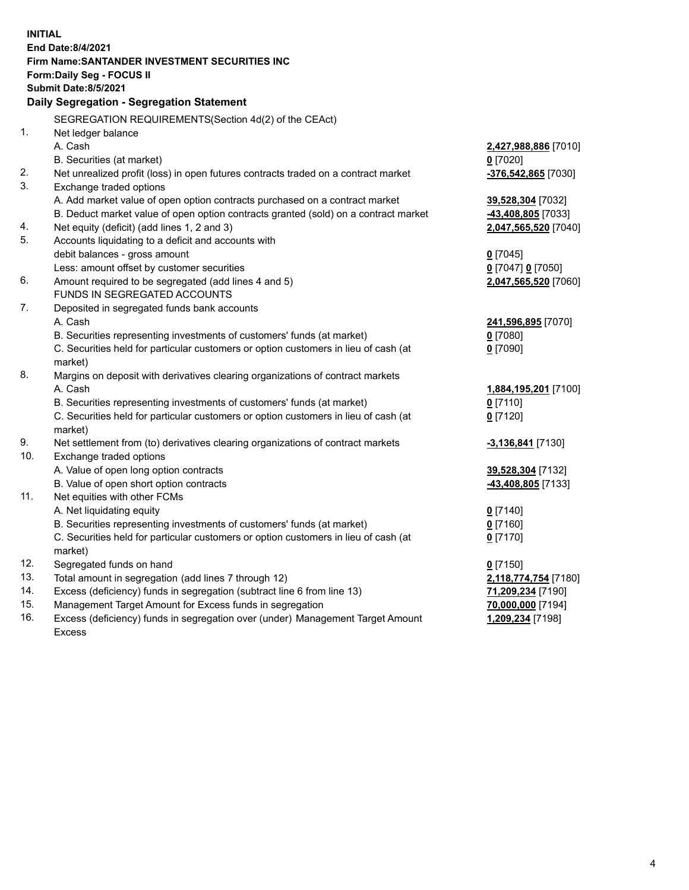| End Date: 8/4/2021                                                                                              |                                  |  |  |  |  |
|-----------------------------------------------------------------------------------------------------------------|----------------------------------|--|--|--|--|
| Firm Name: SANTANDER INVESTMENT SECURITIES INC                                                                  |                                  |  |  |  |  |
|                                                                                                                 | <b>Form:Daily Seg - FOCUS II</b> |  |  |  |  |
| <b>Submit Date: 8/5/2021</b>                                                                                    |                                  |  |  |  |  |
| Daily Segregation - Segregation Statement                                                                       |                                  |  |  |  |  |
| SEGREGATION REQUIREMENTS(Section 4d(2) of the CEAct)                                                            |                                  |  |  |  |  |
| 1.<br>Net ledger balance                                                                                        |                                  |  |  |  |  |
| A. Cash<br>2,427,988,886 [7010]                                                                                 |                                  |  |  |  |  |
| B. Securities (at market)<br>$0$ [7020]                                                                         |                                  |  |  |  |  |
| 2.<br>Net unrealized profit (loss) in open futures contracts traded on a contract market<br>-376,542,865 [7030] |                                  |  |  |  |  |
| 3.<br>Exchange traded options                                                                                   |                                  |  |  |  |  |
| A. Add market value of open option contracts purchased on a contract market<br>39,528,304 [7032]                |                                  |  |  |  |  |
| B. Deduct market value of open option contracts granted (sold) on a contract market<br>-43,408,805 [7033]       |                                  |  |  |  |  |
| 4.<br>Net equity (deficit) (add lines 1, 2 and 3)<br>2,047,565,520 [7040]                                       |                                  |  |  |  |  |
| 5.<br>Accounts liquidating to a deficit and accounts with                                                       |                                  |  |  |  |  |
| debit balances - gross amount<br>$0$ [7045]                                                                     |                                  |  |  |  |  |
| Less: amount offset by customer securities<br>0 [7047] 0 [7050]                                                 |                                  |  |  |  |  |
| 6.<br>Amount required to be segregated (add lines 4 and 5)<br>2,047,565,520 [7060]                              |                                  |  |  |  |  |
| FUNDS IN SEGREGATED ACCOUNTS                                                                                    |                                  |  |  |  |  |
| 7.<br>Deposited in segregated funds bank accounts                                                               |                                  |  |  |  |  |
| A. Cash<br>241,596,895 [7070]                                                                                   |                                  |  |  |  |  |
| B. Securities representing investments of customers' funds (at market)<br>$0$ [7080]                            |                                  |  |  |  |  |
| C. Securities held for particular customers or option customers in lieu of cash (at<br>$0$ [7090]               |                                  |  |  |  |  |
| market)                                                                                                         |                                  |  |  |  |  |
| 8.<br>Margins on deposit with derivatives clearing organizations of contract markets                            |                                  |  |  |  |  |
| A. Cash<br>1,884,195,201 [7100]                                                                                 |                                  |  |  |  |  |
| B. Securities representing investments of customers' funds (at market)<br>$0$ [7110]                            |                                  |  |  |  |  |
| C. Securities held for particular customers or option customers in lieu of cash (at<br>$0$ [7120]               |                                  |  |  |  |  |
| market)<br>9.                                                                                                   |                                  |  |  |  |  |
| Net settlement from (to) derivatives clearing organizations of contract markets<br>-3,136,841 [7130]<br>10.     |                                  |  |  |  |  |
| Exchange traded options<br>39,528,304 [7132]                                                                    |                                  |  |  |  |  |
| A. Value of open long option contracts<br>B. Value of open short option contracts<br>-43,408,805 [7133]         |                                  |  |  |  |  |
| 11.<br>Net equities with other FCMs                                                                             |                                  |  |  |  |  |
| A. Net liquidating equity<br>$0$ [7140]                                                                         |                                  |  |  |  |  |
| B. Securities representing investments of customers' funds (at market)<br>$0$ [7160]                            |                                  |  |  |  |  |
| C. Securities held for particular customers or option customers in lieu of cash (at<br>$0$ [7170]               |                                  |  |  |  |  |
| market)                                                                                                         |                                  |  |  |  |  |
| 12.<br>Segregated funds on hand<br>$0$ [7150]                                                                   |                                  |  |  |  |  |
| 13.<br>Total amount in segregation (add lines 7 through 12)<br>2,118,774,754 [7180]                             |                                  |  |  |  |  |
| 14.<br>Excess (deficiency) funds in segregation (subtract line 6 from line 13)<br>71,209,234 [7190]             |                                  |  |  |  |  |
| 15.<br>Management Target Amount for Excess funds in segregation<br>70,000,000 [7194]                            |                                  |  |  |  |  |
|                                                                                                                 |                                  |  |  |  |  |
| 16.<br>Excess (deficiency) funds in segregation over (under) Management Target Amount<br>1,209,234 [7198]       |                                  |  |  |  |  |